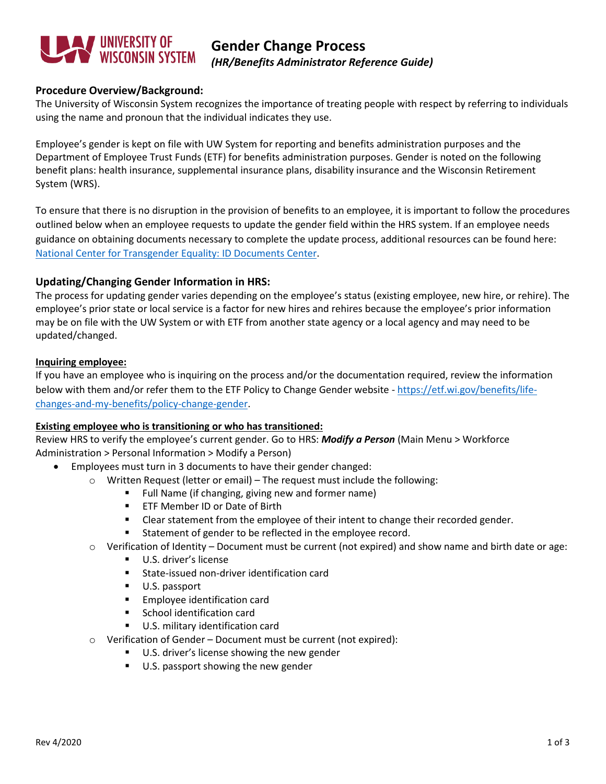

# **Gender Change Process** *(HR/Benefits Administrator Reference Guide)*

# **Procedure Overview/Background:**

The University of Wisconsin System recognizes the importance of treating people with respect by referring to individuals using the name and pronoun that the individual indicates they use.

Employee's gender is kept on file with UW System for reporting and benefits administration purposes and the Department of Employee Trust Funds (ETF) for benefits administration purposes. Gender is noted on the following benefit plans: health insurance, supplemental insurance plans, disability insurance and the Wisconsin Retirement System (WRS).

To ensure that there is no disruption in the provision of benefits to an employee, it is important to follow the procedures outlined below when an employee requests to update the gender field within the HRS system. If an employee needs guidance on obtaining documents necessary to complete the update process, additional resources can be found here: [National Center for Transgender Equality: ID Documents Center.](https://transequality.org/documents/state/wisconsin)

### **Updating/Changing Gender Information in HRS:**

The process for updating gender varies depending on the employee's status (existing employee, new hire, or rehire). The employee's prior state or local service is a factor for new hires and rehires because the employee's prior information may be on file with the UW System or with ETF from another state agency or a local agency and may need to be updated/changed.

#### **Inquiring employee:**

If you have an employee who is inquiring on the process and/or the documentation required, review the information below with them and/or refer them to the ETF Policy to Change Gender website - [https://etf.wi.gov/benefits/life](https://etf.wi.gov/benefits/life-changes-and-my-benefits/policy-change-gender)[changes-and-my-benefits/policy-change-gender.](https://etf.wi.gov/benefits/life-changes-and-my-benefits/policy-change-gender)

### **Existing employee who is transitioning or who has transitioned:**

Review HRS to verify the employee's current gender. Go to HRS: *Modify a Person* (Main Menu > Workforce Administration > Personal Information > Modify a Person)

- Employees must turn in 3 documents to have their gender changed:
	- $\circ$  Written Request (letter or email) The request must include the following:
		- **Full Name (if changing, giving new and former name)**
		- **ETF Member ID or Date of Birth**
		- **EXECLER** Clear statement from the employee of their intent to change their recorded gender.
		- Statement of gender to be reflected in the employee record.
	- $\circ$  Verification of Identity Document must be current (not expired) and show name and birth date or age:
		- U.S. driver's license
		- **State-issued non-driver identification card**
		- U.S. passport
		- **Employee identification card**
		- **School identification card**
		- U.S. military identification card
	- o Verification of Gender Document must be current (not expired):
		- U.S. driver's license showing the new gender
		- U.S. passport showing the new gender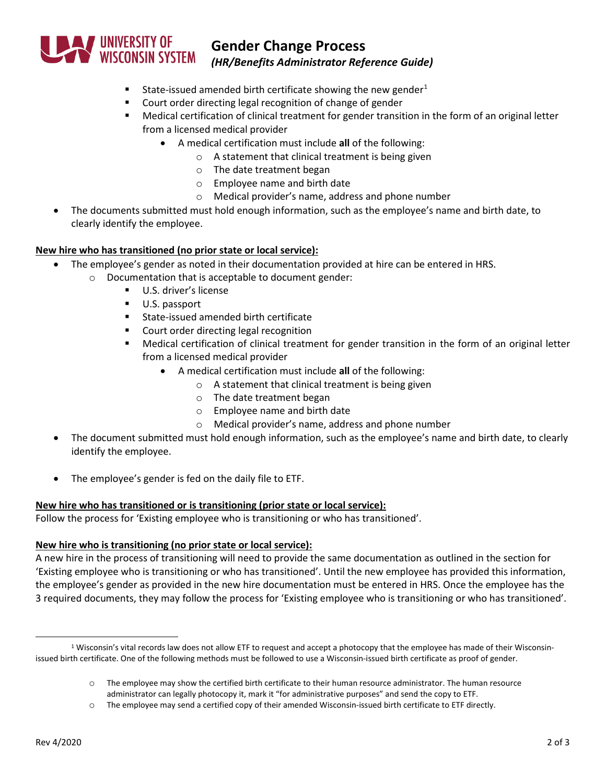

# **Gender Change Process**

*(HR/Benefits Administrator Reference Guide)*

- State-issued amended birth certificate showing the new gender<sup>[1](#page-1-0)</sup>
- **•** Court order directing legal recognition of change of gender
- Medical certification of clinical treatment for gender transition in the form of an original letter from a licensed medical provider
	- A medical certification must include **all** of the following:
		- o A statement that clinical treatment is being given
			- o The date treatment began
			- o Employee name and birth date
			- o Medical provider's name, address and phone number
- The documents submitted must hold enough information, such as the employee's name and birth date, to clearly identify the employee.

# **New hire who has transitioned (no prior state or local service):**

- The employee's gender as noted in their documentation provided at hire can be entered in HRS.
	- o Documentation that is acceptable to document gender:
		- U.S. driver's license
		- U.S. passport
		- **State-issued amended birth certificate**
		- **Court order directing legal recognition**
		- Medical certification of clinical treatment for gender transition in the form of an original letter from a licensed medical provider
			- A medical certification must include **all** of the following:
				- o A statement that clinical treatment is being given
				- o The date treatment began
				- o Employee name and birth date
				- o Medical provider's name, address and phone number
- The document submitted must hold enough information, such as the employee's name and birth date, to clearly identify the employee.
- The employee's gender is fed on the daily file to ETF.

### **New hire who has transitioned or is transitioning (prior state or local service):**

Follow the process for 'Existing employee who is transitioning or who has transitioned'.

### **New hire who is transitioning (no prior state or local service):**

A new hire in the process of transitioning will need to provide the same documentation as outlined in the section for 'Existing employee who is transitioning or who has transitioned'. Until the new employee has provided this information, the employee's gender as provided in the new hire documentation must be entered in HRS. Once the employee has the 3 required documents, they may follow the process for 'Existing employee who is transitioning or who has transitioned'.

<span id="page-1-0"></span><sup>&</sup>lt;sup>1</sup> Wisconsin's vital records law does not allow ETF to request and accept a photocopy that the employee has made of their Wisconsinissued birth certificate. One of the following methods must be followed to use a Wisconsin-issued birth certificate as proof of gender.

o The employee may show the certified birth certificate to their human resource administrator. The human resource administrator can legally photocopy it, mark it "for administrative purposes" and send the copy to ETF.

o The employee may send a certified copy of their amended Wisconsin-issued birth certificate to ETF directly.